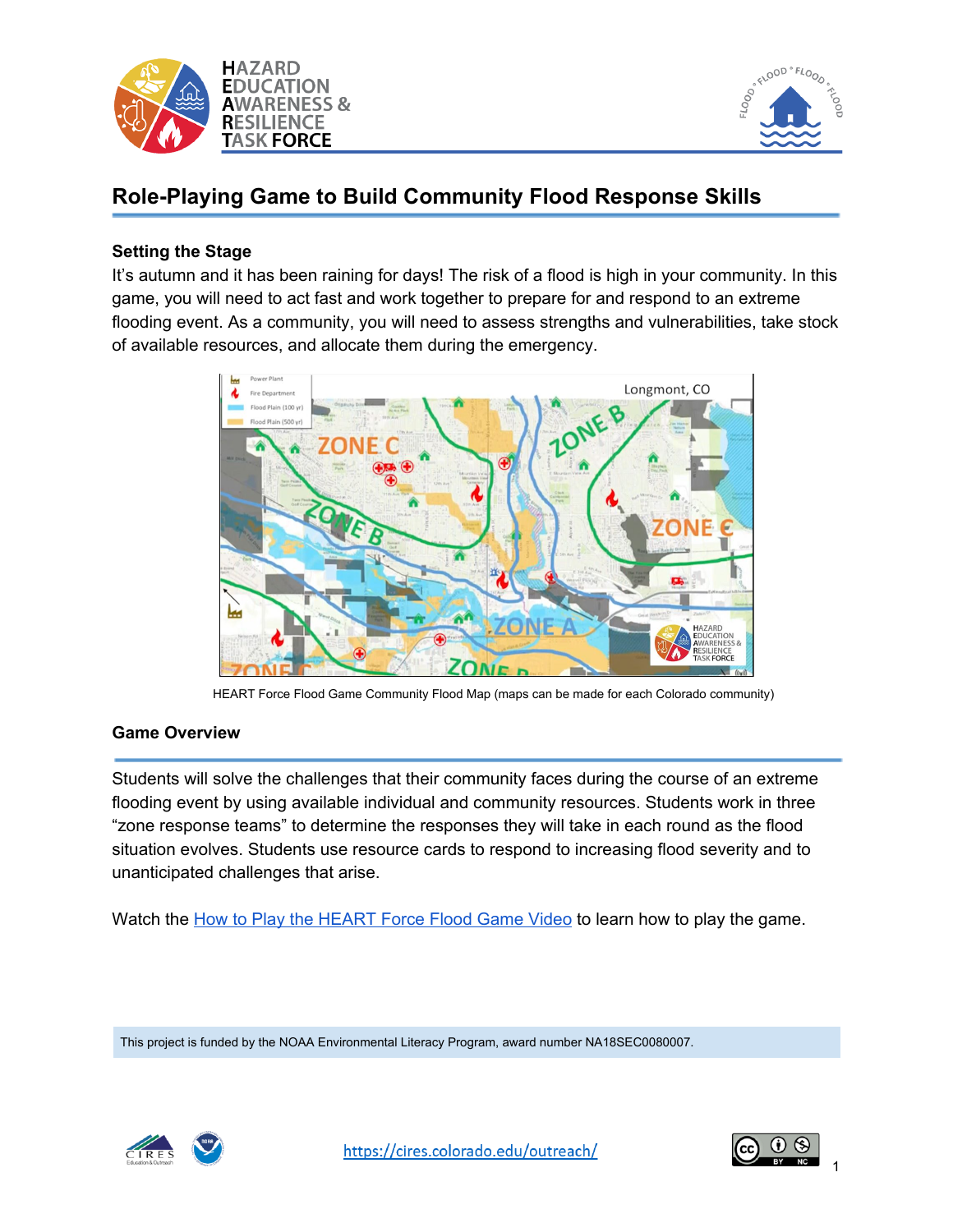



# **Role-Playing Game to Build Community Flood Response Skills**

## **Setting the Stage**

It's autumn and it has been raining for days! The risk of a flood is high in your community. In this game, you will need to act fast and work together to prepare for and respond to an extreme flooding event. As a community, you will need to assess strengths and vulnerabilities, take stock of available resources, and allocate them during the emergency.





#### **Game Overview**

Students will solve the challenges that their community faces during the course of an extreme flooding event by using available individual and community resources. Students work in three "zone response teams" to determine the responses they will take in each round as the flood situation evolves. Students use resource cards to respond to increasing flood severity and to unanticipated challenges that arise.

Watch the How to Play the [HEART](https://cires.colorado.edu/outreach/resources/videos/how-play-heart-force-flood-game) Force Flood Game Video to learn how to play the game.

This project is funded by the NOAA Environmental Literacy Program, award number NA18SEC0080007.



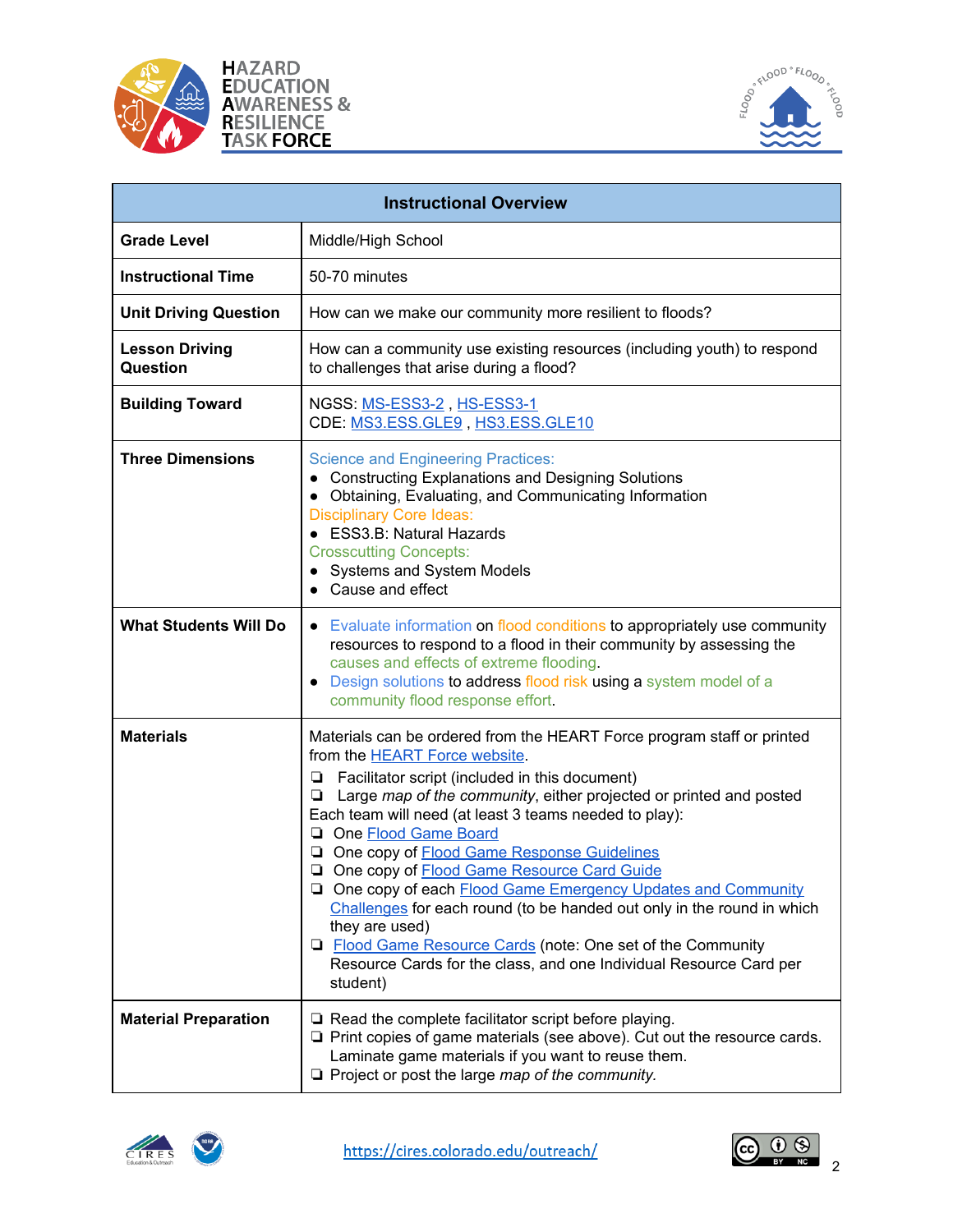





| <b>Instructional Overview</b>     |                                                                                                                                                                                                                                                                                                                                                                                                                                                                                                                                                                                                                                                                                                                                                     |  |  |  |
|-----------------------------------|-----------------------------------------------------------------------------------------------------------------------------------------------------------------------------------------------------------------------------------------------------------------------------------------------------------------------------------------------------------------------------------------------------------------------------------------------------------------------------------------------------------------------------------------------------------------------------------------------------------------------------------------------------------------------------------------------------------------------------------------------------|--|--|--|
| <b>Grade Level</b>                | Middle/High School                                                                                                                                                                                                                                                                                                                                                                                                                                                                                                                                                                                                                                                                                                                                  |  |  |  |
| <b>Instructional Time</b>         | 50-70 minutes                                                                                                                                                                                                                                                                                                                                                                                                                                                                                                                                                                                                                                                                                                                                       |  |  |  |
| <b>Unit Driving Question</b>      | How can we make our community more resilient to floods?                                                                                                                                                                                                                                                                                                                                                                                                                                                                                                                                                                                                                                                                                             |  |  |  |
| <b>Lesson Driving</b><br>Question | How can a community use existing resources (including youth) to respond<br>to challenges that arise during a flood?                                                                                                                                                                                                                                                                                                                                                                                                                                                                                                                                                                                                                                 |  |  |  |
| <b>Building Toward</b>            | NGSS: MS-ESS3-2, HS-ESS3-1<br>CDE: MS3.ESS.GLE9, HS3.ESS.GLE10                                                                                                                                                                                                                                                                                                                                                                                                                                                                                                                                                                                                                                                                                      |  |  |  |
| <b>Three Dimensions</b>           | <b>Science and Engineering Practices:</b><br>• Constructing Explanations and Designing Solutions<br>• Obtaining, Evaluating, and Communicating Information<br><b>Disciplinary Core Ideas:</b><br>• ESS3.B: Natural Hazards<br><b>Crosscutting Concepts:</b><br><b>Systems and System Models</b><br>Cause and effect                                                                                                                                                                                                                                                                                                                                                                                                                                 |  |  |  |
| <b>What Students Will Do</b>      | • Evaluate information on flood conditions to appropriately use community<br>resources to respond to a flood in their community by assessing the<br>causes and effects of extreme flooding.<br>Design solutions to address flood risk using a system model of a<br>community flood response effort.                                                                                                                                                                                                                                                                                                                                                                                                                                                 |  |  |  |
| <b>Materials</b>                  | Materials can be ordered from the HEART Force program staff or printed<br>from the <b>HEART</b> Force website.<br>Facilitator script (included in this document)<br>❏<br>Large map of the community, either projected or printed and posted<br>⊔<br>Each team will need (at least 3 teams needed to play):<br>One Flood Game Board<br>One copy of <b>Flood Game Response Guidelines</b><br>One copy of Flood Game Resource Card Guide<br>□ One copy of each Flood Game Emergency Updates and Community<br>Challenges for each round (to be handed out only in the round in which<br>they are used)<br>□ Flood Game Resource Cards (note: One set of the Community<br>Resource Cards for the class, and one Individual Resource Card per<br>student) |  |  |  |
| <b>Material Preparation</b>       | $\Box$ Read the complete facilitator script before playing.<br>$\Box$ Print copies of game materials (see above). Cut out the resource cards.<br>Laminate game materials if you want to reuse them.<br>$\Box$ Project or post the large map of the community.                                                                                                                                                                                                                                                                                                                                                                                                                                                                                       |  |  |  |



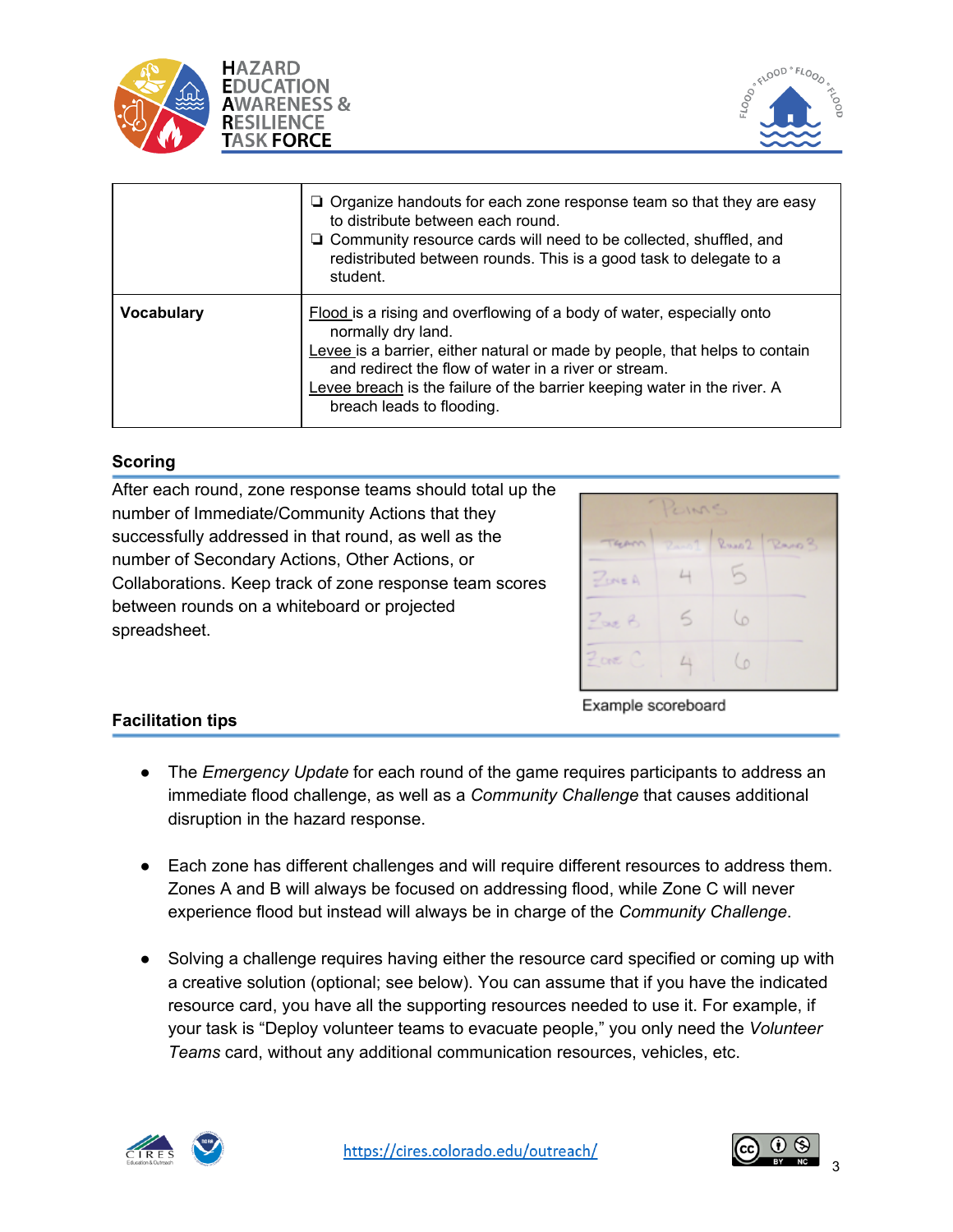



|                   | $\Box$ Organize handouts for each zone response team so that they are easy<br>to distribute between each round.<br>$\Box$ Community resource cards will need to be collected, shuffled, and<br>redistributed between rounds. This is a good task to delegate to a<br>student.                                                               |
|-------------------|---------------------------------------------------------------------------------------------------------------------------------------------------------------------------------------------------------------------------------------------------------------------------------------------------------------------------------------------|
| <b>Vocabulary</b> | Flood is a rising and overflowing of a body of water, especially onto<br>normally dry land.<br>Levee is a barrier, either natural or made by people, that helps to contain<br>and redirect the flow of water in a river or stream.<br>Levee breach is the failure of the barrier keeping water in the river. A<br>breach leads to flooding. |

## **Scoring**

After each round, zone response teams should total up the number of Immediate/Community Actions that they successfully addressed in that round, as well as the number of Secondary Actions, Other Actions, or Collaborations. Keep track of zone response team scores between rounds on a whiteboard or projected spreadsheet.



# **Facilitation tips**

Example scoreboard

- The *Emergency Update* for each round of the game requires participants to address an immediate flood challenge, as well as a *Community Challenge* that causes additional disruption in the hazard response.
- Each zone has different challenges and will require different resources to address them. Zones A and B will always be focused on addressing flood, while Zone C will never experience flood but instead will always be in charge of the *Community Challenge*.
- Solving a challenge requires having either the resource card specified or coming up with a creative solution (optional; see below). You can assume that if you have the indicated resource card, you have all the supporting resources needed to use it. For example, if your task is "Deploy volunteer teams to evacuate people," you only need the *Volunteer Teams* card, without any additional communication resources, vehicles, etc.



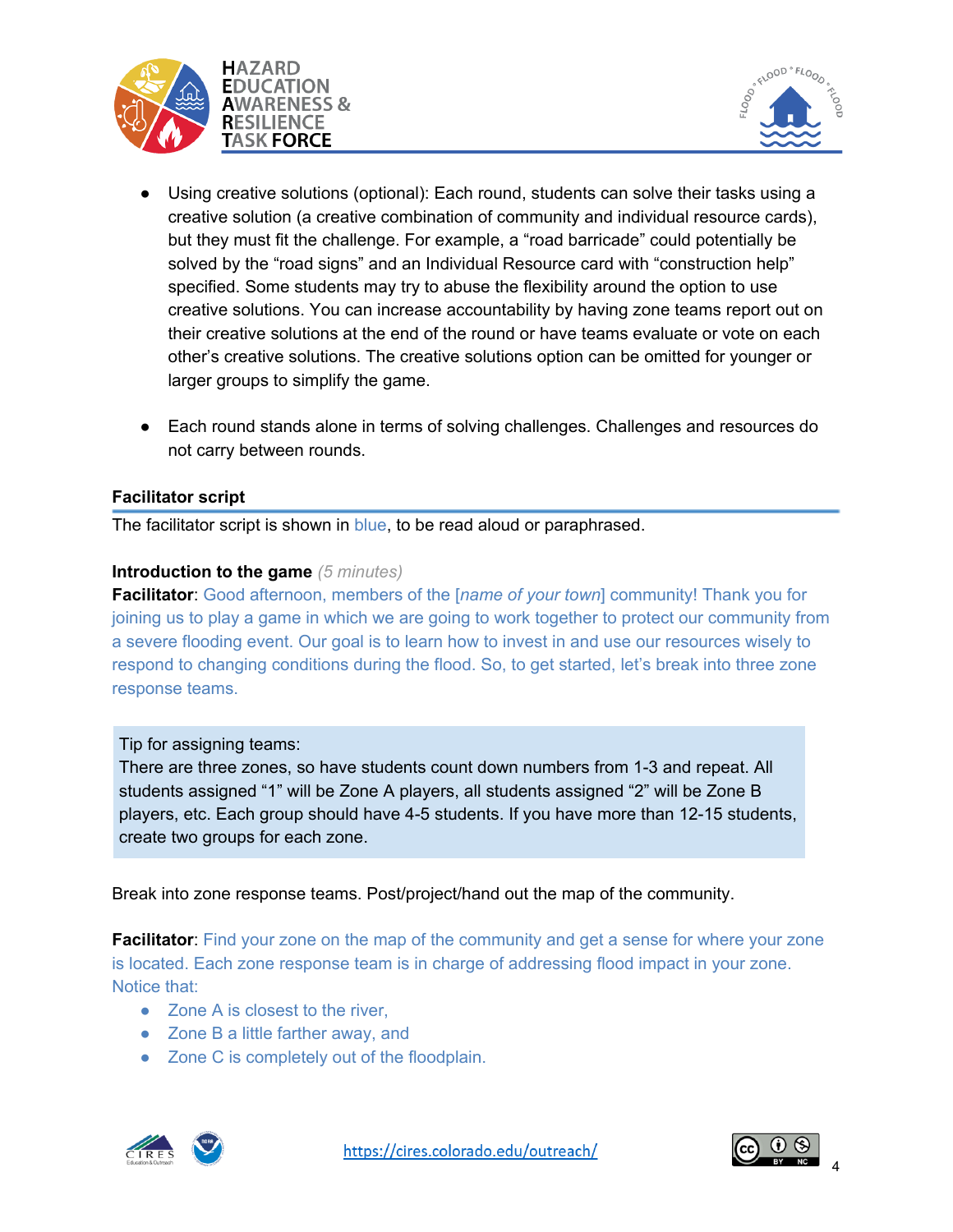



- **●** Using creative solutions (optional): Each round, students can solve their tasks using a creative solution (a creative combination of community and individual resource cards), but they must fit the challenge. For example, a "road barricade" could potentially be solved by the "road signs" and an Individual Resource card with "construction help" specified. Some students may try to abuse the flexibility around the option to use creative solutions. You can increase accountability by having zone teams report out on their creative solutions at the end of the round or have teams evaluate or vote on each other's creative solutions. The creative solutions option can be omitted for younger or larger groups to simplify the game.
- **●** Each round stands alone in terms of solving challenges. Challenges and resources do not carry between rounds.

#### **Facilitator script**

The facilitator script is shown in blue, to be read aloud or paraphrased.

#### **Introduction to the game** *(5 minutes)*

**Facilitator**: Good afternoon, members of the [*name of your town*] community! Thank you for joining us to play a game in which we are going to work together to protect our community from a severe flooding event. Our goal is to learn how to invest in and use our resources wisely to respond to changing conditions during the flood. So, to get started, let's break into three zone response teams.

#### Tip for assigning teams:

There are three zones, so have students count down numbers from 1-3 and repeat. All students assigned "1" will be Zone A players, all students assigned "2" will be Zone B players, etc. Each group should have 4-5 students. If you have more than 12-15 students, create two groups for each zone.

Break into zone response teams. Post/project/hand out the map of the community.

**Facilitator:** Find your zone on the map of the community and get a sense for where your zone is located. Each zone response team is in charge of addressing flood impact in your zone. Notice that:

- Zone A is closest to the river,
- Zone B a little farther away, and
- Zone C is completely out of the floodplain.





4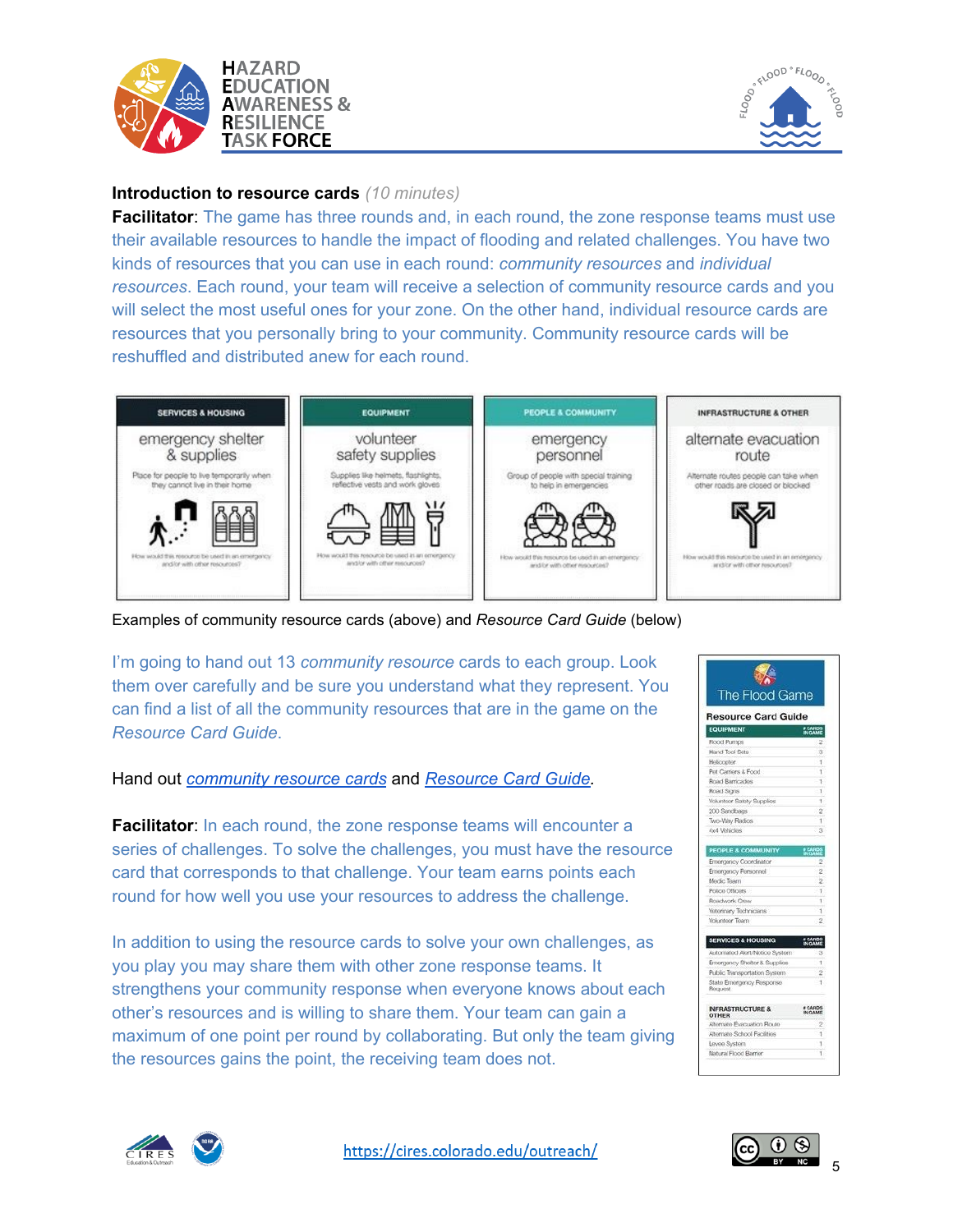



## **Introduction to resource cards** *(10 minutes)*

**Facilitator:** The game has three rounds and, in each round, the zone response teams must use their available resources to handle the impact of flooding and related challenges. You have two kinds of resources that you can use in each round: *community resources* and *individual resources*. Each round, your team will receive a selection of community resource cards and you will select the most useful ones for your zone. On the other hand, individual resource cards are resources that you personally bring to your community. Community resource cards will be reshuffled and distributed anew for each round.



Examples of community resource cards (above) and *Resource Card Guide* (below)

I'm going to hand out 13 *community resource* cards to each group. Look them over carefully and be sure you understand what they represent. You can find a list of all the community resources that are in the game on the *Resource Card Guide*.

Hand out *[community](https://drive.google.com/file/d/1OkxNN3tMz-23NEFptDaDd-ztt2PPwHqS/view?usp=sharing) resource cards* and *[Resource](https://drive.google.com/file/d/1gK1Qk3YMKhehLdyap4Os5c-jNB4XDJai/view?usp=sharing) Card Guide.*

**Facilitator:** In each round, the zone response teams will encounter a series of challenges. To solve the challenges, you must have the resource card that corresponds to that challenge. Your team earns points each round for how well you use your resources to address the challenge.

In addition to using the resource cards to solve your own challenges, as you play you may share them with other zone response teams. It strengthens your community response when everyone knows about each other's resources and is willing to share them. Your team can gain a maximum of one point per round by collaborating. But only the team giving the resources gains the point, the receiving team does not.





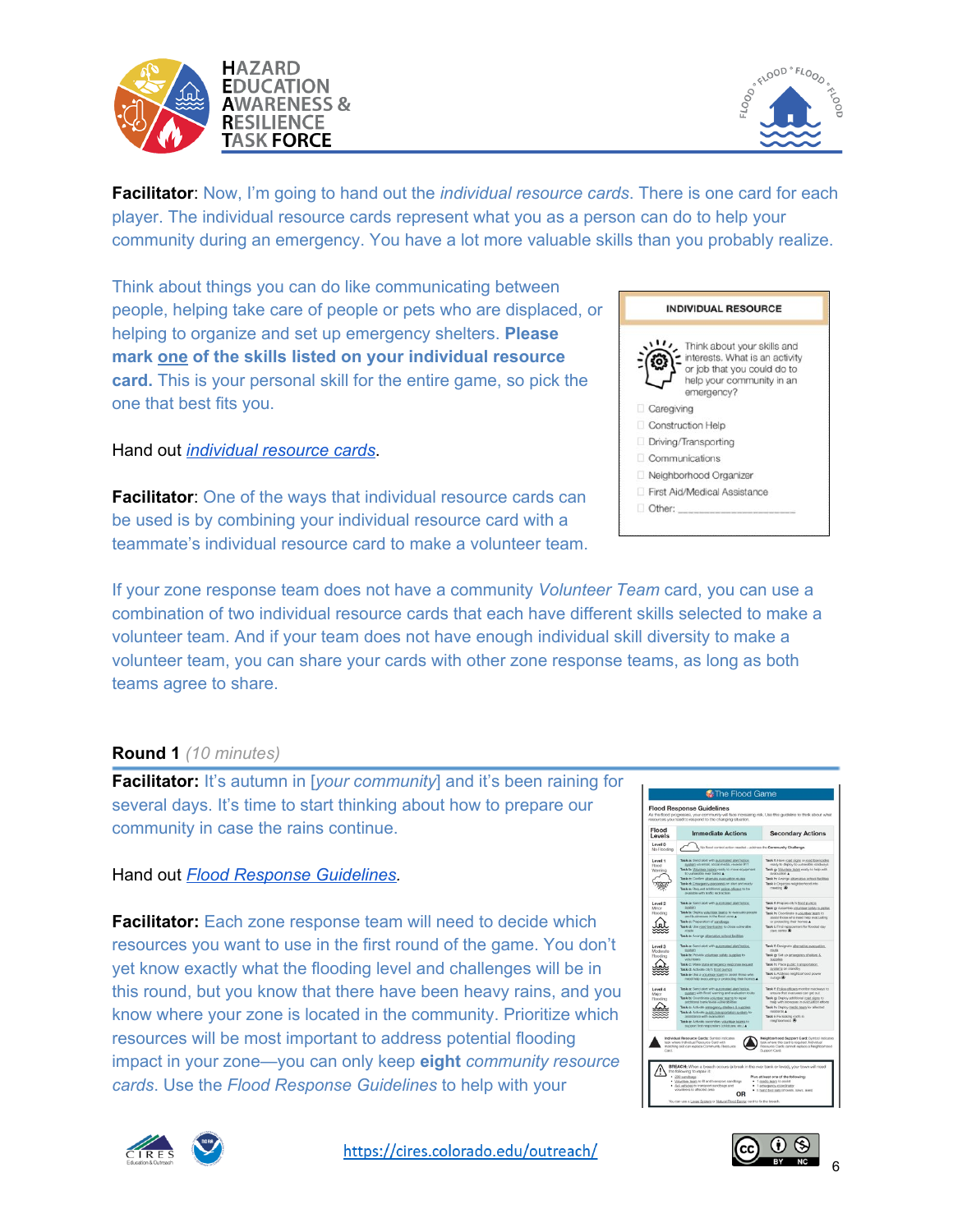



**Facilitator**: Now, I'm going to hand out the *individual resource cards*. There is one card for each player. The individual resource cards represent what you as a person can do to help your community during an emergency. You have a lot more valuable skills than you probably realize.

Think about things you can do like communicating between people, helping take care of people or pets who are displaced, or helping to organize and set up emergency shelters. **Please mark one of the skills listed on your individual resource card.** This is your personal skill for the entire game, so pick the one that best fits you.

Hand out *[individual](https://drive.google.com/file/d/1OkxNN3tMz-23NEFptDaDd-ztt2PPwHqS/view?usp=sharing) resource cards*.

**Facilitator:** One of the ways that individual resource cards can be used is by combining your individual resource card with a teammate's individual resource card to make a volunteer team.

**INDIVIDUAL RESOURCE** Think about your skills and interests. What is an activity or job that you could do to help your community in an emergency? Caregiving Construction Help Driving/Transporting Communications Neighborhood Organizer First Aid/Medical Assistance Other:

If your zone response team does not have a community *Volunteer Team* card, you can use a combination of two individual resource cards that each have different skills selected to make a volunteer team. And if your team does not have enough individual skill diversity to make a volunteer team, you can share your cards with other zone response teams, as long as both teams agree to share.

#### **Round 1** *(10 minutes)*

**Facilitator:** It's autumn in [*your community*] and it's been raining for several days. It's time to start thinking about how to prepare our community in case the rains continue.

# Hand out *Flood Response [Guidelines.](https://drive.google.com/file/d/15MOGG2PfVhuTS0wM_CpiTdKD3jHgC01u/view?usp=sharing)*

**Facilitator:** Each zone response team will need to decide which resources you want to use in the first round of the game. You don't yet know exactly what the flooding level and challenges will be in this round, but you know that there have been heavy rains, and you know where your zone is located in the community. Prioritize which resources will be most important to address potential flooding impact in your zone—you can only keep **eight** *community resource cards*. Use the *Flood Response Guidelines* to help with your







6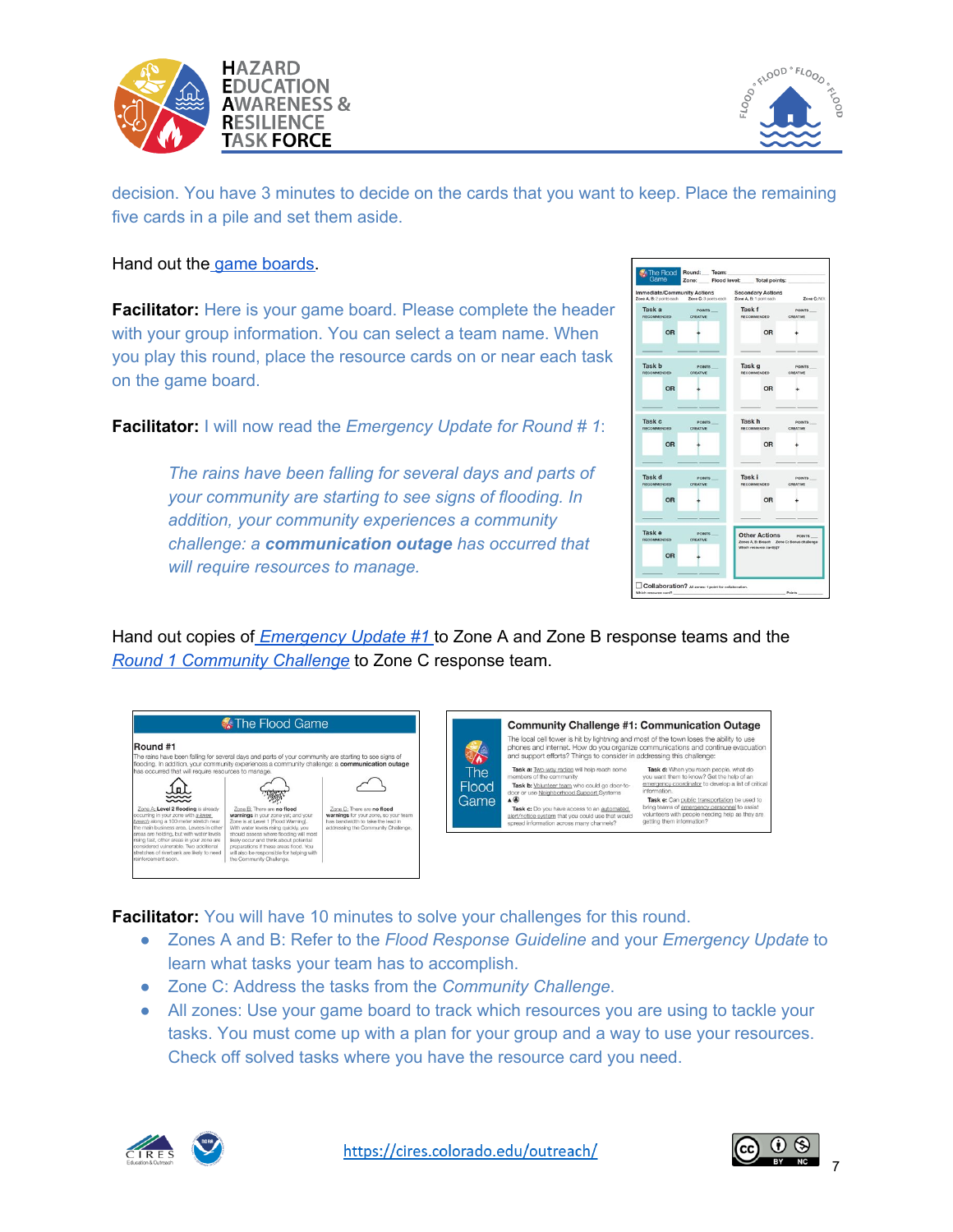



decision. You have 3 minutes to decide on the cards that you want to keep. Place the remaining five cards in a pile and set them aside.

#### Hand out the game [boards](https://drive.google.com/file/d/1emBoZ9IGFnTUCmK0BBp6wumthlA3NjGe/view?usp=sharing).

**Facilitator:** Here is your game board. Please complete the header with your group information. You can select a team name. When you play this round, place the resource cards on or near each task on the game board.

**Facilitator:** I will now read the *Emergency Update for Round # 1*:

*The rains have been falling for several days and parts of your community are starting to see signs of flooding. In addition, your community experiences a community challenge: a communication outage has occurred that will require resources to manage.*

| Game                                                           |                           | Zone: Flood lovel: Total points: |                                                                                               |                           |
|----------------------------------------------------------------|---------------------------|----------------------------------|-----------------------------------------------------------------------------------------------|---------------------------|
| <b>Immediate/Community Actions</b><br>Zone A, B: 2 points each |                           | Zone C: 3 points each            | <b>Secondary Actions</b><br>Zone A, B: 1 point each                                           | Zone C: N/A               |
| Task a<br>RECOMMENDED                                          | <b>POINTS</b><br>CREATIVE |                                  | Task f<br><b>RECOMMENDED</b>                                                                  | <b>POINTS</b><br>CREATIVE |
| OR                                                             |                           |                                  | <b>OR</b>                                                                                     |                           |
| Task b<br>RECOMMENDED                                          | POINTS<br>CREATIVE        |                                  | Task g<br>RECOMMENDED                                                                         | POINTS<br>CREATIVE        |
| <b>OR</b>                                                      |                           |                                  | <b>OR</b>                                                                                     |                           |
| Task <sub>c</sub><br>RECOMMENDED                               | POINTS<br>CREATIVE        |                                  | Task h<br>RECOMMENDED                                                                         | POINTS<br>CREATIVE        |
| OR                                                             |                           |                                  | OR                                                                                            |                           |
| Task d<br>RECOMMENDED                                          | POINTS<br><b>CREATIVE</b> |                                  | Task i<br>RECOMMENDED                                                                         | POINTS<br>CREATIVE        |
| OR                                                             |                           |                                  | OR                                                                                            |                           |
| Task e<br>RECOMMENDED                                          | POINTS<br><b>CREATIVE</b> |                                  | <b>Other Actions</b><br>Zones A. B: Breach Zone C: Bonus challenge<br>Which resource card(s)? | <b>POINTS</b>             |
| OR                                                             |                           |                                  |                                                                                               |                           |

Hand out copies of *[Emergency](https://drive.google.com/file/d/15Hq3EDlyxQURyQeIgWnhMEmWVCGQZqQn/view?usp=sharing) Update #[1](https://drive.google.com/file/d/15Hq3EDlyxQURyQeIgWnhMEmWVCGQZqQn/view?usp=sharing)* to Zone A and Zone B response teams and the *Round 1 [Community](https://drive.google.com/file/d/15Hq3EDlyxQURyQeIgWnhMEmWVCGQZqQn/view?usp=sharing) Challenge* to Zone C response team.



**Facilitator:** You will have 10 minutes to solve your challenges for this round.

- Zones A and B: Refer to the *Flood Response Guideline* and your *Emergency Update* to learn what tasks your team has to accomplish.
- Zone C: Address the tasks from the *Community Challenge*.
- All zones: Use your game board to track which resources you are using to tackle your tasks. You must come up with a plan for your group and a way to use your resources. Check off solved tasks where you have the resource card you need.





7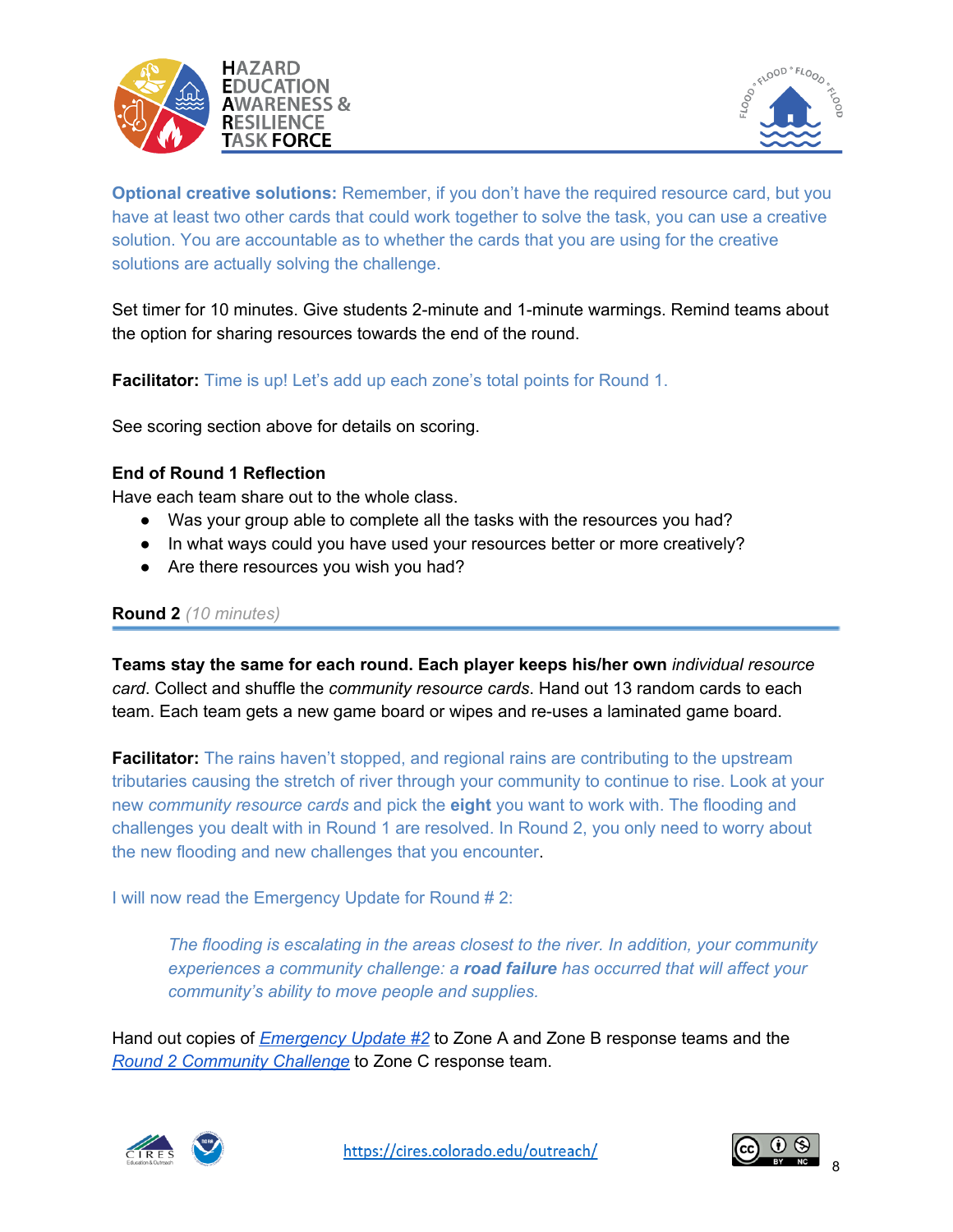



**Optional creative solutions:** Remember, if you don't have the required resource card, but you have at least two other cards that could work together to solve the task, you can use a creative solution. You are accountable as to whether the cards that you are using for the creative solutions are actually solving the challenge.

Set timer for 10 minutes. Give students 2-minute and 1-minute warmings. Remind teams about the option for sharing resources towards the end of the round.

**Facilitator:** Time is up! Let's add up each zone's total points for Round 1.

See scoring section above for details on scoring.

#### **End of Round 1 Reflection**

Have each team share out to the whole class.

- Was your group able to complete all the tasks with the resources you had?
- In what ways could you have used your resources better or more creatively?
- Are there resources you wish you had?

#### **Round 2** *(10 minutes)*

**Teams stay the same for each round. Each player keeps his/her own** *individual resource card*. Collect and shuffle the *community resource cards*. Hand out 13 random cards to each team. Each team gets a new game board or wipes and re-uses a laminated game board.

**Facilitator:** The rains haven't stopped, and regional rains are contributing to the upstream tributaries causing the stretch of river through your community to continue to rise. Look at your new *community resource cards* and pick the **eight** you want to work with. The flooding and challenges you dealt with in Round 1 are resolved. In Round 2, you only need to worry about the new flooding and new challenges that you encounter.

I will now read the Emergency Update for Round # 2:

*The flooding is escalating in the areas closest to the river. In addition, your community experiences a community challenge: a road failure has occurred that will affect your community's ability to move people and supplies.*

Hand out copies of *[Emergency](https://drive.google.com/file/d/15Hq3EDlyxQURyQeIgWnhMEmWVCGQZqQn/view?usp=sharing) Update #2* to Zone A and Zone B response teams and the *Round 2 [Community](https://drive.google.com/file/d/15Hq3EDlyxQURyQeIgWnhMEmWVCGQZqQn/view?usp=sharing) Challenge* to Zone C response team.



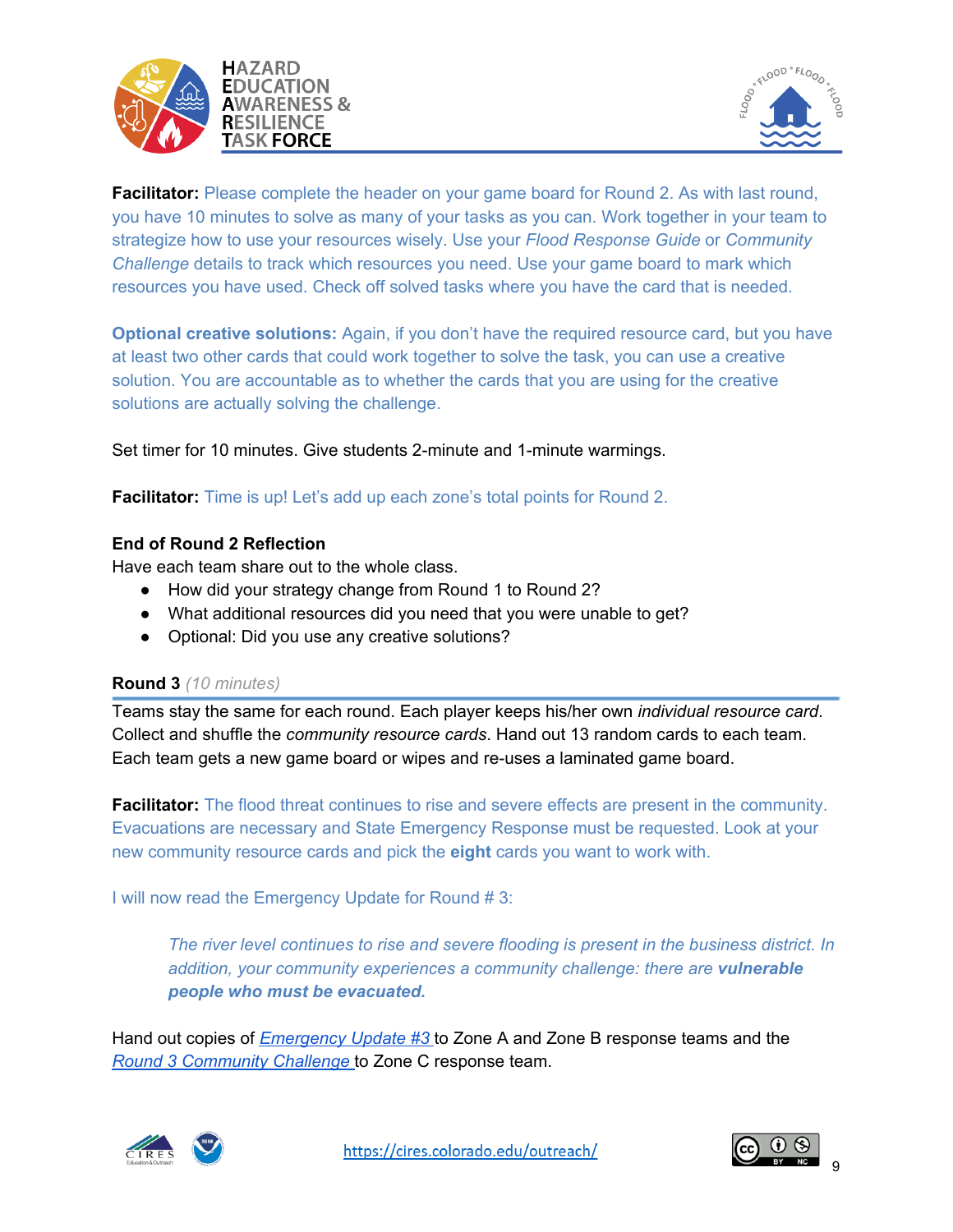



**Facilitator:** Please complete the header on your game board for Round 2. As with last round, you have 10 minutes to solve as many of your tasks as you can. Work together in your team to strategize how to use your resources wisely. Use your *Flood Response Guide* or *Community Challenge* details to track which resources you need. Use your game board to mark which resources you have used. Check off solved tasks where you have the card that is needed.

**Optional creative solutions:** Again, if you don't have the required resource card, but you have at least two other cards that could work together to solve the task, you can use a creative solution. You are accountable as to whether the cards that you are using for the creative solutions are actually solving the challenge.

Set timer for 10 minutes. Give students 2-minute and 1-minute warmings.

**Facilitator:** Time is up! Let's add up each zone's total points for Round 2.

## **End of Round 2 Reflection**

Have each team share out to the whole class.

- How did your strategy change from Round 1 to Round 2?
- What additional resources did you need that you were unable to get?
- Optional: Did you use any creative solutions?

#### **Round 3** *(10 minutes)*

Teams stay the same for each round. Each player keeps his/her own *individual resource card*. Collect and shuffle the *community resource cards*. Hand out 13 random cards to each team. Each team gets a new game board or wipes and re-uses a laminated game board.

**Facilitator:** The flood threat continues to rise and severe effects are present in the community. Evacuations are necessary and State Emergency Response must be requested. Look at your new community resource cards and pick the **eight** cards you want to work with.

I will now read the Emergency Update for Round # 3:

*The river level continues to rise and severe flooding is present in the business district. In addition, your community experiences a community challenge: there are vulnerable people who must be evacuated.*

Hand out copies of *[Emergency](https://drive.google.com/file/d/15Hq3EDlyxQURyQeIgWnhMEmWVCGQZqQn/view?usp=sharing) Update #[3](https://drive.google.com/file/d/15Hq3EDlyxQURyQeIgWnhMEmWVCGQZqQn/view?usp=sharing)* to Zone A and Zone B response teams and the *Round 3 [Community](https://drive.google.com/file/d/15Hq3EDlyxQURyQeIgWnhMEmWVCGQZqQn/view?usp=sharing) Challenge* [t](https://drive.google.com/file/d/15Hq3EDlyxQURyQeIgWnhMEmWVCGQZqQn/view?usp=sharing)o Zone C response team.



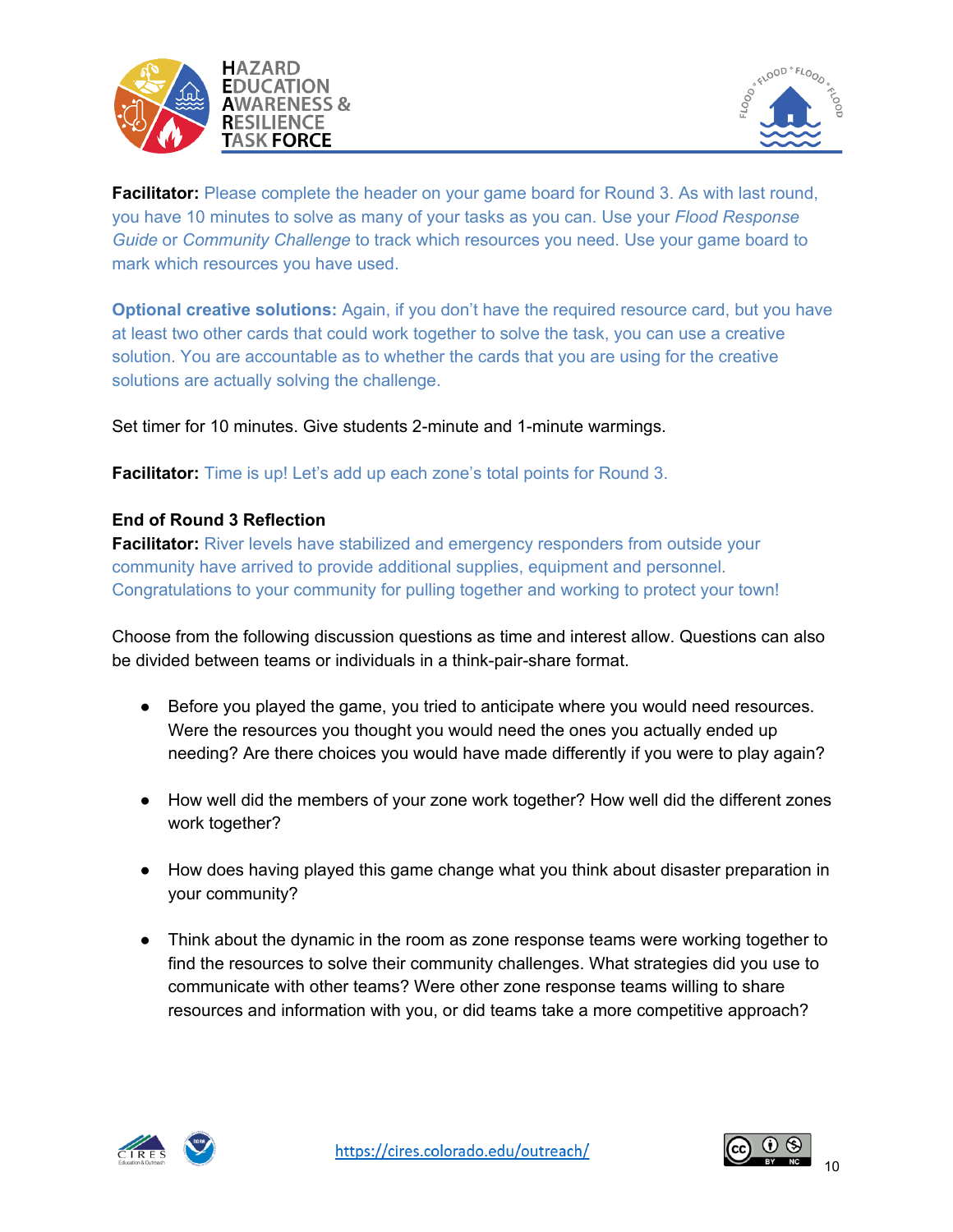



**Facilitator:** Please complete the header on your game board for Round 3. As with last round, you have 10 minutes to solve as many of your tasks as you can. Use your *Flood Response Guide* or *Community Challenge* to track which resources you need. Use your game board to mark which resources you have used.

**Optional creative solutions:** Again, if you don't have the required resource card, but you have at least two other cards that could work together to solve the task, you can use a creative solution. You are accountable as to whether the cards that you are using for the creative solutions are actually solving the challenge.

Set timer for 10 minutes. Give students 2-minute and 1-minute warmings.

**Facilitator:** Time is up! Let's add up each zone's total points for Round 3.

## **End of Round 3 Reflection**

**Facilitator:** River levels have stabilized and emergency responders from outside your community have arrived to provide additional supplies, equipment and personnel. Congratulations to your community for pulling together and working to protect your town!

Choose from the following discussion questions as time and interest allow. Questions can also be divided between teams or individuals in a think-pair-share format.

- Before you played the game, you tried to anticipate where you would need resources. Were the resources you thought you would need the ones you actually ended up needing? Are there choices you would have made differently if you were to play again?
- How well did the members of your zone work together? How well did the different zones work together?
- How does having played this game change what you think about disaster preparation in your community?
- Think about the dynamic in the room as zone response teams were working together to find the resources to solve their community challenges. What strategies did you use to communicate with other teams? Were other zone response teams willing to share resources and information with you, or did teams take a more competitive approach?



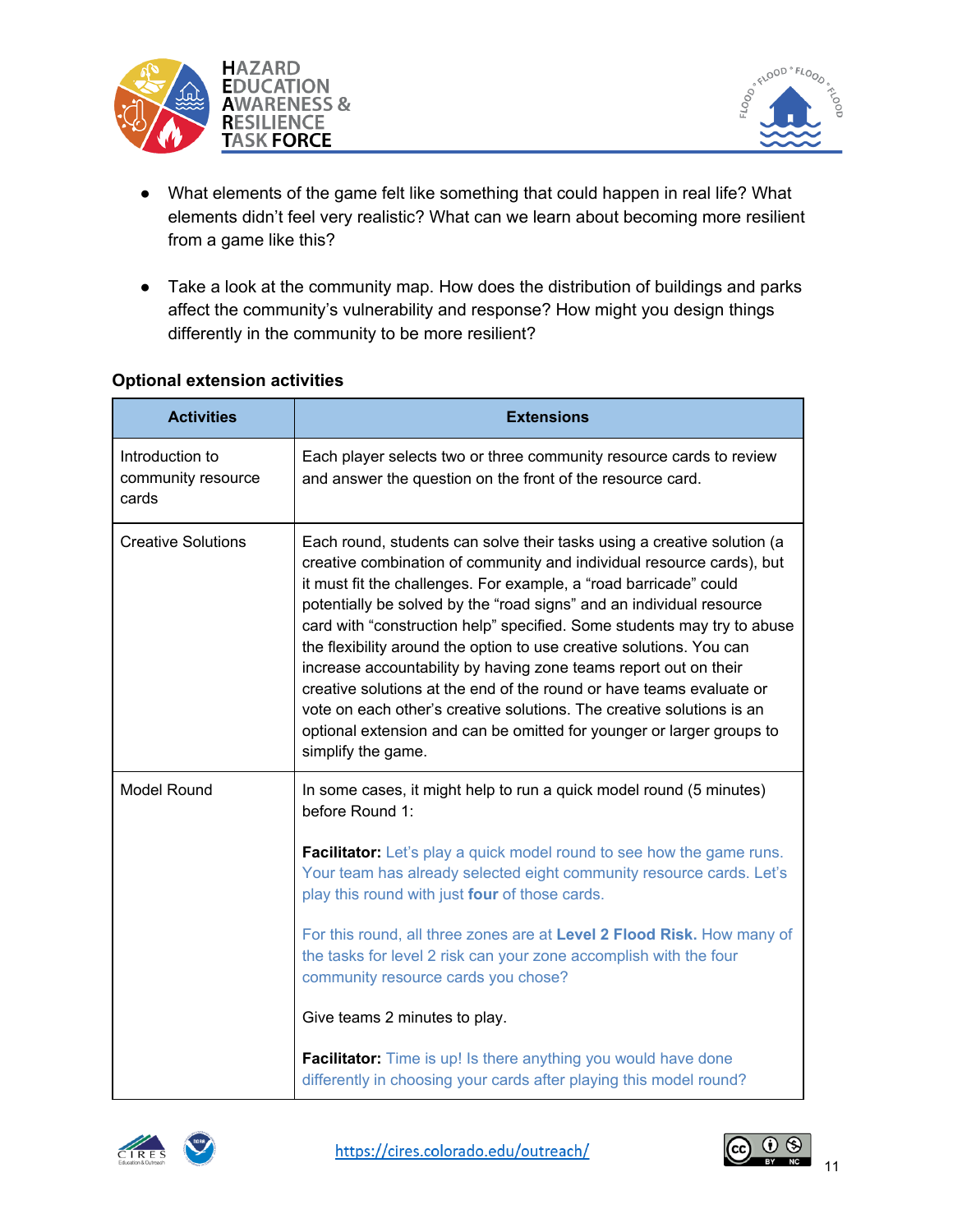



- What elements of the game felt like something that could happen in real life? What elements didn't feel very realistic? What can we learn about becoming more resilient from a game like this?
- Take a look at the community map. How does the distribution of buildings and parks affect the community's vulnerability and response? How might you design things differently in the community to be more resilient?

## **Optional extension activities**

| <b>Activities</b>                              | <b>Extensions</b>                                                                                                                                                                                                                                                                                                                                                                                                                                                                                                                                                                                                                                                                                                                                                    |  |
|------------------------------------------------|----------------------------------------------------------------------------------------------------------------------------------------------------------------------------------------------------------------------------------------------------------------------------------------------------------------------------------------------------------------------------------------------------------------------------------------------------------------------------------------------------------------------------------------------------------------------------------------------------------------------------------------------------------------------------------------------------------------------------------------------------------------------|--|
| Introduction to<br>community resource<br>cards | Each player selects two or three community resource cards to review<br>and answer the question on the front of the resource card.                                                                                                                                                                                                                                                                                                                                                                                                                                                                                                                                                                                                                                    |  |
| <b>Creative Solutions</b>                      | Each round, students can solve their tasks using a creative solution (a<br>creative combination of community and individual resource cards), but<br>it must fit the challenges. For example, a "road barricade" could<br>potentially be solved by the "road signs" and an individual resource<br>card with "construction help" specified. Some students may try to abuse<br>the flexibility around the option to use creative solutions. You can<br>increase accountability by having zone teams report out on their<br>creative solutions at the end of the round or have teams evaluate or<br>vote on each other's creative solutions. The creative solutions is an<br>optional extension and can be omitted for younger or larger groups to<br>simplify the game. |  |
| <b>Model Round</b>                             | In some cases, it might help to run a quick model round (5 minutes)<br>before Round 1:                                                                                                                                                                                                                                                                                                                                                                                                                                                                                                                                                                                                                                                                               |  |
|                                                | <b>Facilitator:</b> Let's play a quick model round to see how the game runs.<br>Your team has already selected eight community resource cards. Let's<br>play this round with just four of those cards.                                                                                                                                                                                                                                                                                                                                                                                                                                                                                                                                                               |  |
|                                                | For this round, all three zones are at Level 2 Flood Risk. How many of<br>the tasks for level 2 risk can your zone accomplish with the four<br>community resource cards you chose?                                                                                                                                                                                                                                                                                                                                                                                                                                                                                                                                                                                   |  |
|                                                | Give teams 2 minutes to play.                                                                                                                                                                                                                                                                                                                                                                                                                                                                                                                                                                                                                                                                                                                                        |  |
|                                                | Facilitator: Time is up! Is there anything you would have done<br>differently in choosing your cards after playing this model round?                                                                                                                                                                                                                                                                                                                                                                                                                                                                                                                                                                                                                                 |  |